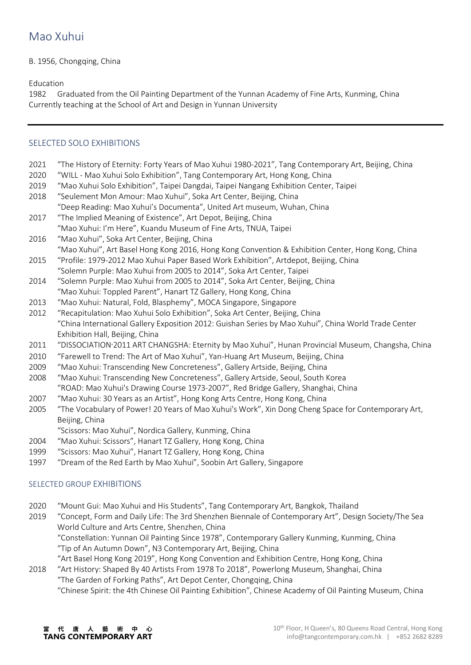## B. 1956, Chongqing, China

Education

1982 Graduated from the Oil Painting Department of the Yunnan Academy of Fine Arts, Kunming, China Currently teaching at the School of Art and Design in Yunnan University

# SELECTED SOLO EXHIBITIONS

- 2021 "The History of Eternity: Forty Years of Mao Xuhui 1980-2021", Tang Contemporary Art, Beijing, China
- 2020 "WILL Mao Xuhui Solo Exhibition", Tang Contemporary Art, Hong Kong, China
- 2019 "Mao Xuhui Solo Exhibition", Taipei Dangdai, Taipei Nangang Exhibition Center, Taipei
- 2018 "Seulement Mon Amour: Mao Xuhui", Soka Art Center, Beijing, China "Deep Reading: Mao Xuhui's Documenta", United Art museum, Wuhan, China
- 2017 "The Implied Meaning of Existence", Art Depot, Beijing, China "Mao Xuhui: I'm Here", Kuandu Museum of Fine Arts, TNUA, Taipei
- 2016 "Mao Xuhui", Soka Art Center, Beijing, China "Mao Xuhui", Art Basel Hong Kong 2016, Hong Kong Convention & Exhibition Center, Hong Kong, China
- 2015 "Profile: 1979-2012 Mao Xuhui Paper Based Work Exhibition", Artdepot, Beijing, China "Solemn Purple: Mao Xuhui from 2005 to 2014", Soka Art Center, Taipei
- 2014 "Solemn Purple: Mao Xuhui from 2005 to 2014", Soka Art Center, Beijing, China "Mao Xuhui: Toppled Parent", Hanart TZ Gallery, Hong Kong, China
- 2013 "Mao Xuhui: Natural, Fold, Blasphemy", MOCA Singapore, Singapore
- 2012 "Recapitulation: Mao Xuhui Solo Exhibition", Soka Art Center, Beijing, China "China International Gallery Exposition 2012: Guishan Series by Mao Xuhui", China World Trade Center Exhibition Hall, Beijing, China
- 2011 "DISSOCIATION·2011 ART CHANGSHA: Eternity by Mao Xuhui", Hunan Provincial Museum, Changsha, China
- 2010 "Farewell to Trend: The Art of Mao Xuhui", Yan-Huang Art Museum, Beijing, China
- 2009 "Mao Xuhui: Transcending New Concreteness", Gallery Artside, Beijing, China
- 2008 "Mao Xuhui: Transcending New Concreteness", Gallery Artside, Seoul, South Korea "ROAD: Mao Xuhui's Drawing Course 1973-2007", Red Bridge Gallery, Shanghai, China
- 2007 "Mao Xuhui: 30 Years as an Artist", Hong Kong Arts Centre, Hong Kong, China
- 2005 "The Vocabulary of Power! 20 Years of Mao Xuhui's Work", Xin Dong Cheng Space for Contemporary Art, Beijing, China
	- "Scissors: Mao Xuhui", Nordica Gallery, Kunming, China
- 2004 "Mao Xuhui: Scissors", Hanart TZ Gallery, Hong Kong, China
- 1999 "Scissors: Mao Xuhui", Hanart TZ Gallery, Hong Kong, China
- 1997 "Dream of the Red Earth by Mao Xuhui", Soobin Art Gallery, Singapore

### SELECTED GROUP EXHIBITIONS

- 2020 "Mount Gui: Mao Xuhui and His Students", Tang Contemporary Art, Bangkok, Thailand
- 2019 "Concept, Form and Daily Life: The 3rd Shenzhen Biennale of Contemporary Art", Design Society/The Sea World Culture and Arts Centre, Shenzhen, China "Constellation: Yunnan Oil Painting Since 1978", Contemporary Gallery Kunming, Kunming, China "Tip of An Autumn Down", N3 Contemporary Art, Beijing, China "Art Basel Hong Kong 2019", Hong Kong Convention and Exhibition Centre, Hong Kong, China
- 2018 "Art History: Shaped By 40 Artists From 1978 To 2018", Powerlong Museum, Shanghai, China "The Garden of Forking Paths", Art Depot Center, Chongqing, China "Chinese Spirit: the 4th Chinese Oil Painting Exhibition", Chinese Academy of Oil Painting Museum, China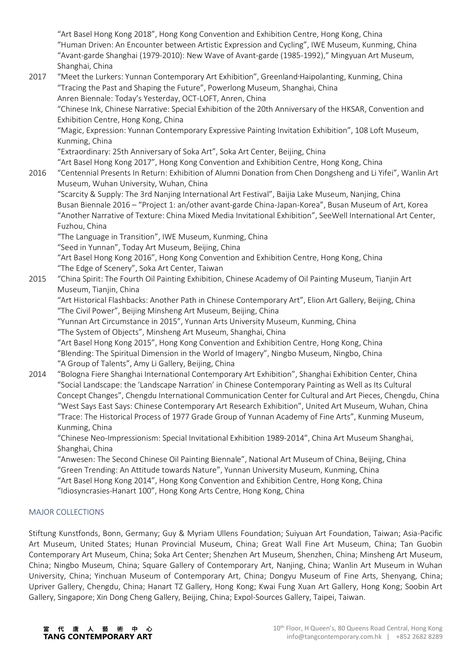"Art Basel Hong Kong 2018", Hong Kong Convention and Exhibition Centre, Hong Kong, China "Human Driven: An Encounter between Artistic Expression and Cycling", IWE Museum, Kunming, China "Avant-garde Shanghai (1979-2010): New Wave of Avant-garde (1985-1992)," Mingyuan Art Museum, Shanghai, China

2017 "Meet the Lurkers: Yunnan Contemporary Art Exhibition", Greenland·Haipolanting, Kunming, China "Tracing the Past and Shaping the Future", Powerlong Museum, Shanghai, China Anren Biennale: Today's Yesterday, OCT-LOFT, Anren, China

"Chinese Ink, Chinese Narrative: Special Exhibition of the 20th Anniversary of the HKSAR, Convention and Exhibition Centre, Hong Kong, China

"Magic, Expression: Yunnan Contemporary Expressive Painting Invitation Exhibition", 108 Loft Museum, Kunming, China

"Extraordinary: 25th Anniversary of Soka Art", Soka Art Center, Beijing, China

"Art Basel Hong Kong 2017", Hong Kong Convention and Exhibition Centre, Hong Kong, China

2016 "Centennial Presents In Return: Exhibition of Alumni Donation from Chen Dongsheng and Li Yifei", Wanlin Art Museum, Wuhan University, Wuhan, China

"Scarcity & Supply: The 3rd Nanjing International Art Festival", Baijia Lake Museum, Nanjing, China Busan Biennale 2016 – "Project 1: an/other avant-garde China-Japan-Korea", Busan Museum of Art, Korea "Another Narrative of Texture: China Mixed Media Invitational Exhibition", SeeWell International Art Center, Fuzhou, China

"The Language in Transition", IWE Museum, Kunming, China

"Seed in Yunnan", Today Art Museum, Beijing, China

"Art Basel Hong Kong 2016", Hong Kong Convention and Exhibition Centre, Hong Kong, China "The Edge of Scenery", Soka Art Center, Taiwan

2015 "China Spirit: The Fourth Oil Painting Exhibition, Chinese Academy of Oil Painting Museum, Tianjin Art Museum, Tianjin, China

"Art Historical Flashbacks: Another Path in Chinese Contemporary Art", Elion Art Gallery, Beijing, China "The Civil Power", Beijing Minsheng Art Museum, Beijing, China

"Yunnan Art Circumstance in 2015", Yunnan Arts University Museum, Kunming, China "The System of Objects", Minsheng Art Museum, Shanghai, China

"Art Basel Hong Kong 2015", Hong Kong Convention and Exhibition Centre, Hong Kong, China "Blending: The Spiritual Dimension in the World of Imagery", Ningbo Museum, Ningbo, China "A Group of Talents", Amy Li Gallery, Beijing, China

2014 "Bologna Fiere Shanghai International Contemporary Art Exhibition", Shanghai Exhibition Center, China "Social Landscape: the 'Landscape Narration' in Chinese Contemporary Painting as Well as Its Cultural Concept Changes", Chengdu International Communication Center for Cultural and Art Pieces, Chengdu, China "West Says East Says: Chinese Contemporary Art Research Exhibition", United Art Museum, Wuhan, China "Trace: The Historical Process of 1977 Grade Group of Yunnan Academy of Fine Arts", Kunming Museum, Kunming, China

"Chinese Neo-Impressionism: Special Invitational Exhibition 1989-2014", China Art Museum Shanghai, Shanghai, China

"Anwesen: The Second Chinese Oil Painting Biennale", National Art Museum of China, Beijing, China "Green Trending: An Attitude towards Nature", Yunnan University Museum, Kunming, China "Art Basel Hong Kong 2014", Hong Kong Convention and Exhibition Centre, Hong Kong, China

"Idiosyncrasies-Hanart 100", Hong Kong Arts Centre, Hong Kong, China

# MAJOR COLLECTIONS

Stiftung Kunstfonds, Bonn, Germany; Guy & Myriam Ullens Foundation; Suiyuan Art Foundation, Taiwan; Asia-Pacific Art Museum, United States; Hunan Provincial Museum, China; Great Wall Fine Art Museum, China; Tan Guobin Contemporary Art Museum, China; Soka Art Center; Shenzhen Art Museum, Shenzhen, China; Minsheng Art Museum, China; Ningbo Museum, China; Square Gallery of Contemporary Art, Nanjing, China; Wanlin Art Museum in Wuhan University, China; Yinchuan Museum of Contemporary Art, China; Dongyu Museum of Fine Arts, Shenyang, China; Upriver Gallery, Chengdu, China; Hanart TZ Gallery, Hong Kong; Kwai Fung Xuan Art Gallery, Hong Kong; Soobin Art Gallery, Singapore; Xin Dong Cheng Gallery, Beijing, China; Expol-Sources Gallery, Taipei, Taiwan.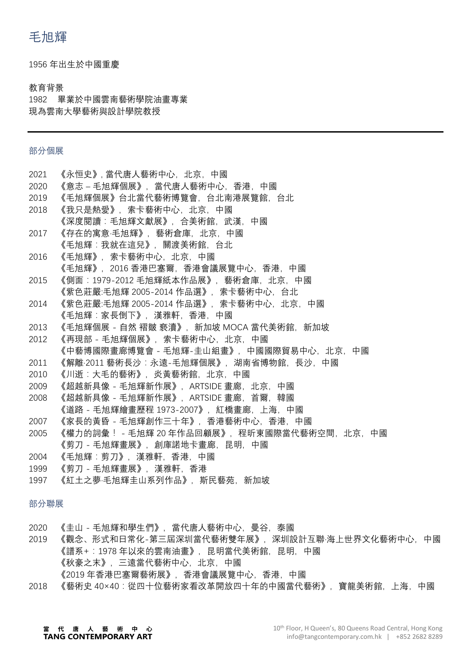1956 年出生於中國重慶

#### 教育背景

1982 畢業於中國雲南藝術學院油畫專業 現為雲南大學藝術與設計學院教授

## 部分個展

|      | 2021 | 《永恒史》,當代唐人藝術中心,北京,中國                          |
|------|------|-----------------------------------------------|
|      | 2020 | 《意志 – 毛旭輝個展》,當代唐人藝術中心,香港,中國                   |
|      | 2019 | 《毛旭輝個展》台北當代藝術博覽會,台北南港展覽館,台北                   |
|      | 2018 | 《我只是熱愛》,索卡藝術中心,北京,中國                          |
|      |      | 《深度閱讀:毛旭輝文獻展》,合美術館,武漢,中國                      |
|      | 2017 | 《存在的寓意·毛旭輝》,藝術倉庫,北京,中國                        |
|      |      | 《毛旭輝:我就在這兒》,關渡美術館,台北                          |
|      | 2016 | 《毛旭輝》,索卡藝術中心,北京,中國                            |
|      |      | 《毛旭輝》,2016 香港巴塞爾,香港會議展覽中心,香港,中國               |
|      | 2015 | 《側面:1979-2012 毛旭輝紙本作品展》,藝術倉庫,北京,中國            |
|      |      | 《紫色莊嚴:毛旭輝 2005-2014 作品選》,索卡藝術中心,台北            |
|      | 2014 | 《紫色莊嚴:毛旭輝 2005-2014 作品選》, 索卡藝術中心, 北京, 中國      |
|      |      | 《毛旭輝:家長倒下》,漢雅軒,香港,中國                          |
|      | 2013 | 《毛旭輝個展 - 自然 褶皺 褻瀆》,新加坡 MOCA 當代美術館,新加坡         |
|      | 2012 | 《再現部-毛旭輝個展》,索卡藝術中心,北京,中國                      |
|      |      | 《中藝博國際畫廊博覽會 - 毛旭輝-圭山組畫》,中國國際貿易中心,北京,中國        |
|      | 2011 | 《解離 2011 藝術長沙:永遠-毛旭輝個展》,湖南省博物館,長沙,中國          |
|      | 2010 | 《川逝:大毛的藝術》,炎黃藝術館,北京,中國                        |
|      | 2009 | 《超越新具像 - 毛旭輝新作展》, ARTSIDE 畫廊, 北京, 中國          |
|      | 2008 | 《超越新具像 - 毛旭輝新作展》,ARTSIDE 畫廊,首爾,韓國             |
|      |      | 《道路 - 毛旭輝繪畫歷程 1973-2007》,紅橋畫廊,上海,中國           |
|      |      | 2007 《家長的黃昏 - 毛旭輝創作三十年》,香港藝術中心,香港,中國          |
|      | 2005 | 《權力的詞彙!-毛旭輝 20 年作品回顧展》,程昕東國際當代藝術空間,北京,中國      |
|      |      | 《剪刀-毛旭輝畫展》,創庫諾地卡畫廊,昆明,中國                      |
|      | 2004 | 《毛旭輝:剪刀》,漢雅軒,香港,中國                            |
|      | 1999 | 《剪刀-毛旭輝畫展》,漢雅軒,香港                             |
|      | 1997 | 《紅土之夢 毛旭輝圭山系列作品》,斯民藝苑,新加坡                     |
|      |      |                                               |
| 部分聯展 |      |                                               |
|      | 2020 | 《圭山-毛旭輝和學生們》,當代唐人藝術中心,曼谷,泰國                   |
|      | 2019 | 《觀念、形式和日常化-第三屆深圳當代藝術雙年展》,深圳設計互聯·海上世界文化藝術中心,中國 |
|      |      | 《譜系+:1978 年以來的雲南油畫》,昆明當代美術館,昆明,中國             |
|      |      | 《秋豪之末》,三遠當代藝術中心,北京,中國                         |
|      |      |                                               |

《2019 年香港巴塞爾藝術展》,香港會議展覽中心,香港,中國

2018 《藝術史 40×40:從四十位藝術家看改革開放四十年的中國當代藝術》,寶龍美術館,上海,中國

# 當 代 唐 人 藝 術 中 心<br>TANG CONTEMPORARY ART